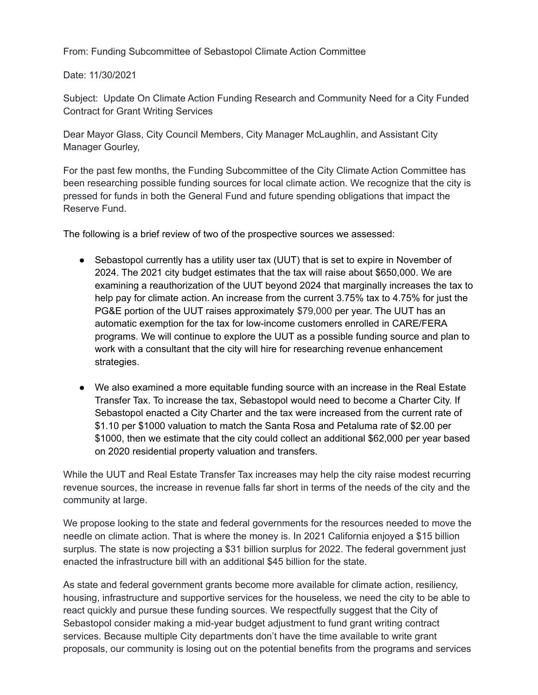From: Funding Subcommittee of Sebastopol Climate Action Committee

Date: 11/30/2021

Subject: Update On Climate Action Funding Research and Community Need for a City Funded Contract for Grant Writing Services

Dear Mayor Glass, City Council Members, City Manager McLaughlin, and Assistant City Manager Gourley,

For the past few months, the Funding Subcommittee of the City Climate Action Committee has been researching possible funding sources for local climate action. We recognize that the city is pressed for funds in both the General Fund and future spending obligations that impact the Reserve Fund.

The following is a brief review of two of the prospective sources we assessed:

- Sebastopol currently has a utility user tax (UUT) that is set to expire in November of 2024. The 2021 city budget estimates that the tax will raise about \$650,000. We are examining a reauthorization of the UUT beyond 2024 that marginally increases the tax to help pay for climate action. An increase from the current 3.75% tax to 4.75% for just the PG&E portion of the UUT raises approximately \$79,000 per year. The UUT has an automatic exemption for the tax for low-income customers enrolled in CARE/FERA programs. We will continue to explore the UUT as a possible funding source and plan to work with a consultant that the city will hire for researching revenue enhancement strategies.
- We also examined a more equitable funding source with an increase in the Real Estate Transfer Tax. To increase the tax, Sebastopol would need to become a Charter City. If Sebastopol enacted a City Charter and the tax were increased from the current rate of \$1.10 per \$1000 valuation to match the Santa Rosa and Petaluma rate of \$2.00 per \$1000, then we estimate that the city could collect an additional \$62,000 per year based on 2020 residential property valuation and transfers.

While the UUT and Real Estate Transfer Tax increases may help the city raise modest recurring revenue sources, the increase in revenue falls far short in terms of the needs of the city and the community at large.

We propose looking to the state and federal governments for the resources needed to move the needle on climate action. That is where the money is. In 2021 California enjoyed a \$15 billion surplus. The state is now projecting a \$31 billion surplus for 2022. The federal government just enacted the infrastructure bill with an additional \$45 billion for the state.

As state and federal government grants become more available for climate action, resiliency, housing, infrastructure and supportive services for the houseless, we need the city to be able to react quickly and pursue these funding sources. We respectfully suggest that the City of Sebastopol consider making a mid-year budget adjustment to fund grant writing contract services. Because multiple City departments don't have the time available to write grant proposals, our community is losing out on the potential benefits from the programs and services